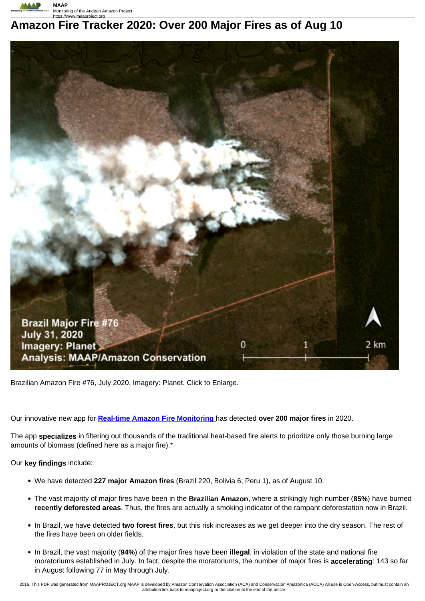

# **Amazon Fire Tracker 2020: Over 200 Major Fires as of Aug 10**



Brazilian Amazon Fire #76, July 2020. Imagery: Planet. Click to Enlarge.

Our innovative new app for **Real-time Amazon Fire Monitoring** has detected **over 200 major fires** in 2020.

The app **specializes** in filtering out thousands of the traditional heat-based fire alerts to prioritize only those burning large amounts of biomass (defined here as a major fire).\*

Our **key findings** include:

- We have detected **227 major Amazon fires** (Brazil 220, Bolivia 6; Peru 1), as of August 10.
- The vast majority of major fires have been in the **Brazilian Amazon**, where a strikingly high number (**85%**) have burned **recently deforested areas**. Thus, the fires are actually a smoking indicator of the rampant deforestation now in Brazil.
- In Brazil, we have detected **two forest fires**, but this risk increases as we get deeper into the dry season. The rest of the fires have been on older fields.
- In Brazil, the vast majority (**94%**) of the major fires have been **illegal**, in violation of the state and national fire moratoriums established in July. In fact, despite the moratoriums, the number of major fires is **accelerating**: 143 so far in August following 77 in May through July.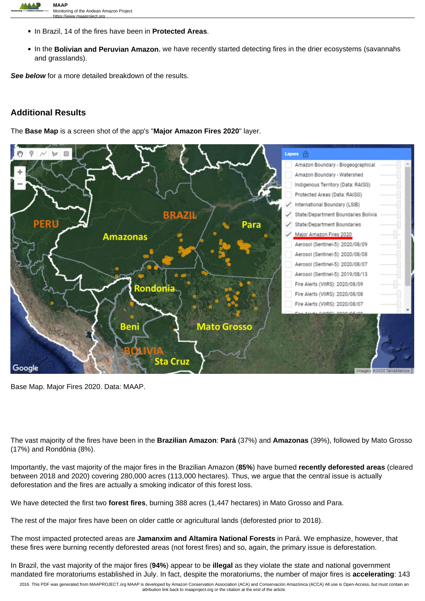

- In Brazil, 14 of the fires have been in **Protected Areas**.
- In the **Bolivian and Peruvian Amazon**, we have recently started detecting fires in the drier ecosystems (savannahs and grasslands).

See below for a more detailed breakdown of the results.

# **Additional Results**

The **Base Map** is a screen shot of the app's "**Major Amazon Fires 2020**" layer.



Base Map. Major Fires 2020. Data: MAAP.

The vast majority of the fires have been in the **Brazilian Amazon**: **Pará** (37%) and **Amazonas** (39%), followed by Mato Grosso (17%) and Rondônia (8%).

Importantly, the vast majority of the major fires in the Brazilian Amazon (**85%**) have burned **recently deforested areas** (cleared between 2018 and 2020) covering 280,000 acres (113,000 hectares). Thus, we argue that the central issue is actually deforestation and the fires are actually a smoking indicator of this forest loss.

We have detected the first two **forest fires**, burning 388 acres (1,447 hectares) in Mato Grosso and Para.

The rest of the major fires have been on older cattle or agricultural lands (deforested prior to 2018).

The most impacted protected areas are **Jamanxim and Altamira National Forests** in Pará. We emphasize, however, that these fires were burning recently deforested areas (not forest fires) and so, again, the primary issue is deforestation.

In Brazil, the vast majority of the major fires (**94%**) appear to be **illegal** as they violate the state and national government mandated fire moratoriums established in July. In fact, despite the moratoriums, the number of major fires is **accelerating**: 143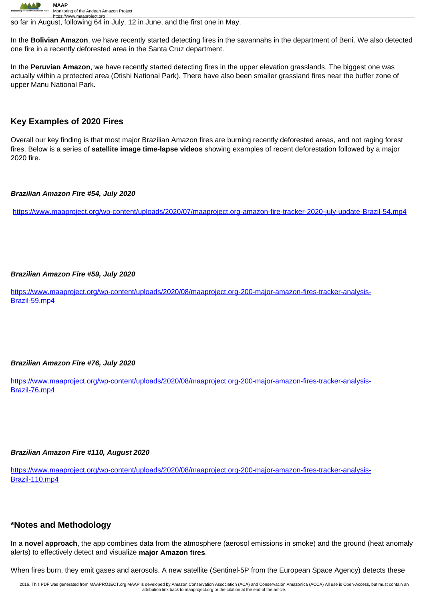

https://www.maaproject.org so far in August, following 64 in July, 12 in June, and the first one in May.

In the **Bolivian Amazon**, we have recently started detecting fires in the savannahs in the department of Beni. We also detected one fire in a recently deforested area in the Santa Cruz department.

In the **Peruvian Amazon**, we have recently started detecting fires in the upper elevation grasslands. The biggest one was actually within a protected area (Otishi National Park). There have also been smaller grassland fires near the buffer zone of upper Manu National Park.

# **Key Examples of 2020 Fires**

Overall our key finding is that most major Brazilian Amazon fires are burning recently deforested areas, and not raging forest fires. Below is a series of **satellite image time-lapse videos** showing examples of recent deforestation followed by a major 2020 fire.

#### **Brazilian Amazon Fire #54, July 2020**

https://www.maaproject.org/wp-content/uploads/2020/07/maaproject.org-amazon-fire-tracker-2020-july-update-Brazil-54.mp4

#### **Brazilian Amazon Fire #59, July 2020**

https://www.maaproject.org/wp-content/uploads/2020/08/maaproject.org-200-major-amazon-fires-tracker-analysis-Brazil-59.mp4

#### **Brazilian Amazon Fire #76, July 2020**

https://www.maaproject.org/wp-content/uploads/2020/08/maaproject.org-200-major-amazon-fires-tracker-analysis-Brazil-76.mp4

#### **Brazilian Amazon Fire #110, August 2020**

https://www.maaproject.org/wp-content/uploads/2020/08/maaproject.org-200-major-amazon-fires-tracker-analysis-Brazil-110.mp4

## **\*Notes and Methodology**

In a **novel approach**, the app combines data from the atmosphere (aerosol emissions in smoke) and the ground (heat anomaly alerts) to effectively detect and visualize **major Amazon fires**.

When fires burn, they emit gases and aerosols. A new satellite (Sentinel-5P from the European Space Agency) detects these